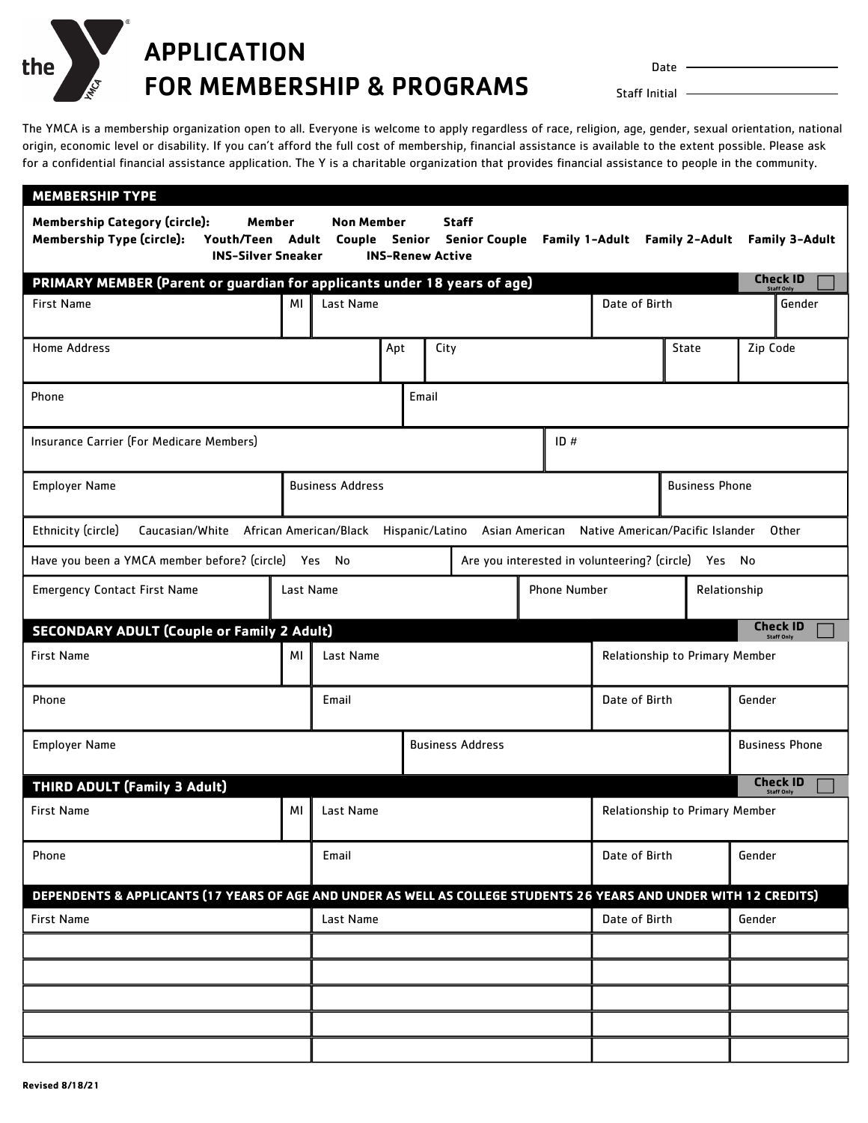Date -

APPLICATION FOR MEMBERSHIP & PROGRAMS

Staff Initial  $-$ 

The YMCA is a membership organization open to all. Everyone is welcome to apply regardless of race, religion, age, gender, sexual orientation, national origin, economic level or disability. If you can't afford the full cost of membership, financial assistance is available to the extent possible. Please ask for a confidential financial assistance application. The Y is a charitable organization that provides financial assistance to people in the community.

| <b>MEMBERSHIP TYPE</b>                                                                                                              |      |                                             |                         |                                |                                                                        |                                                     |                       |               |              |                                  |          |                                      |  |
|-------------------------------------------------------------------------------------------------------------------------------------|------|---------------------------------------------|-------------------------|--------------------------------|------------------------------------------------------------------------|-----------------------------------------------------|-----------------------|---------------|--------------|----------------------------------|----------|--------------------------------------|--|
| <b>Membership Category (circle):</b><br>Member<br><b>Membership Type (circle):</b><br>Youth/Teen Adult<br><b>INS-Silver Sneaker</b> |      | <b>Non Member</b><br>Couple                 |                         |                                | <b>Staff</b><br><b>Senior</b> Senior Couple<br><b>INS-Renew Active</b> |                                                     |                       |               |              | Family 1-Adult Family 2-Adult    |          | Family 3-Adult                       |  |
| PRIMARY MEMBER (Parent or guardian for applicants under 18 years of age)                                                            |      |                                             |                         |                                |                                                                        |                                                     |                       |               |              |                                  |          | <b>Check ID</b><br><b>Staff Only</b> |  |
| <b>First Name</b>                                                                                                                   | МI   | Last Name                                   |                         |                                |                                                                        |                                                     | Date of Birth         |               |              |                                  | Gender   |                                      |  |
| <b>Home Address</b>                                                                                                                 |      |                                             |                         | Apt<br>City                    |                                                                        |                                                     |                       | State         |              |                                  | Zip Code |                                      |  |
| Phone                                                                                                                               |      |                                             |                         |                                | Email                                                                  |                                                     |                       |               |              |                                  |          |                                      |  |
| Insurance Carrier (For Medicare Members)                                                                                            |      |                                             |                         | ID#                            |                                                                        |                                                     |                       |               |              |                                  |          |                                      |  |
| <b>Employer Name</b>                                                                                                                |      | <b>Business Address</b>                     |                         |                                |                                                                        |                                                     | <b>Business Phone</b> |               |              |                                  |          |                                      |  |
| Ethnicity (circle)<br>Caucasian/White African American/Black Hispanic/Latino Asian American                                         |      |                                             |                         |                                |                                                                        |                                                     |                       |               |              | Native American/Pacific Islander |          | Other                                |  |
| Have you been a YMCA member before? (circle) Yes No                                                                                 |      |                                             |                         |                                |                                                                        | Are you interested in volunteering? (circle) Yes No |                       |               |              |                                  |          |                                      |  |
| Last Name<br><b>Emergency Contact First Name</b>                                                                                    |      |                                             |                         |                                | <b>Phone Number</b>                                                    |                                                     |                       |               | Relationship |                                  |          |                                      |  |
| <b>SECONDARY ADULT (Couple or Family 2 Adult)</b>                                                                                   |      |                                             |                         |                                |                                                                        |                                                     |                       |               |              |                                  |          | <b>Check ID</b><br><b>Staff Only</b> |  |
| <b>First Name</b>                                                                                                                   | ΜI   | Last Name                                   |                         | Relationship to Primary Member |                                                                        |                                                     |                       |               |              |                                  |          |                                      |  |
| Phone<br>Email                                                                                                                      |      |                                             |                         |                                |                                                                        |                                                     |                       | Date of Birth |              |                                  | Gender   |                                      |  |
| <b>Employer Name</b>                                                                                                                |      |                                             | <b>Business Address</b> |                                |                                                                        |                                                     |                       |               |              |                                  |          | <b>Business Phone</b>                |  |
| <b>THIRD ADULT (Family 3 Adult)</b>                                                                                                 |      |                                             |                         |                                |                                                                        |                                                     |                       |               |              |                                  |          | <b>Check ID</b><br><b>Staff Only</b> |  |
| <b>First Name</b>                                                                                                                   | MI I | Last Name<br>Relationship to Primary Member |                         |                                |                                                                        |                                                     |                       |               |              |                                  |          |                                      |  |
| Phone                                                                                                                               |      | Email                                       |                         |                                |                                                                        |                                                     | Date of Birth         |               |              | Gender                           |          |                                      |  |
| DEPENDENTS & APPLICANTS (17 YEARS OF AGE AND UNDER AS WELL AS COLLEGE STUDENTS 26 YEARS AND UNDER WITH 12 CREDITS)                  |      |                                             |                         |                                |                                                                        |                                                     |                       |               |              |                                  |          |                                      |  |
| <b>First Name</b>                                                                                                                   |      | Last Name                                   |                         |                                |                                                                        |                                                     |                       | Date of Birth |              |                                  | Gender   |                                      |  |
|                                                                                                                                     |      |                                             |                         |                                |                                                                        |                                                     |                       |               |              |                                  |          |                                      |  |
|                                                                                                                                     |      |                                             |                         |                                |                                                                        |                                                     |                       |               |              |                                  |          |                                      |  |
|                                                                                                                                     |      |                                             |                         |                                |                                                                        |                                                     |                       |               |              |                                  |          |                                      |  |
|                                                                                                                                     |      |                                             |                         |                                |                                                                        |                                                     |                       |               |              |                                  |          |                                      |  |
|                                                                                                                                     |      |                                             |                         |                                |                                                                        |                                                     |                       |               |              |                                  |          |                                      |  |

the